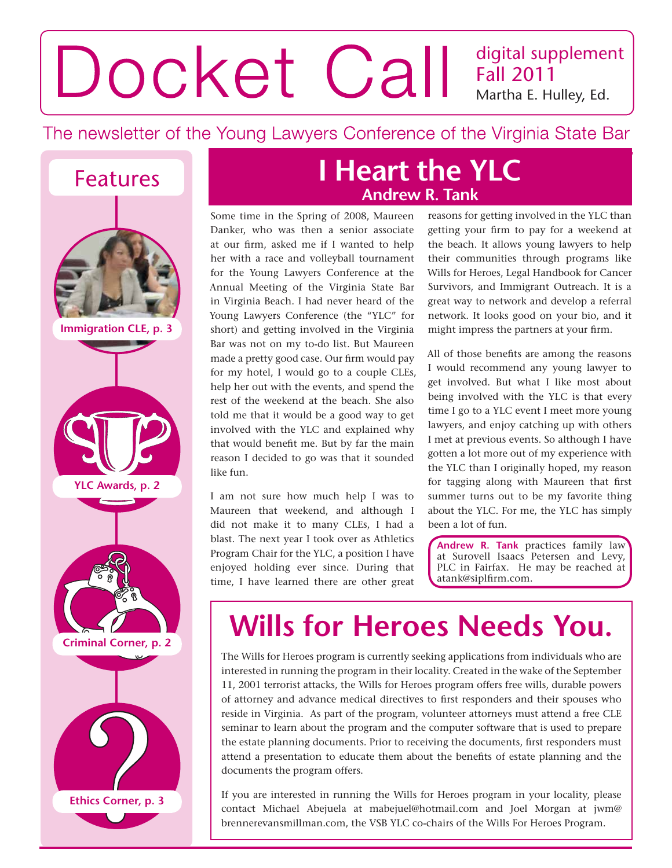### digital supplement Docket Call Fall 2011 Martha E. Hulley, Ed.

The newsletter of the Young Lawyers Conference of the Virginia State Bar



**Immigration CLE, p. 3**





### **Features I Heart the YLC Andrew R. Tank**

Some time in the Spring of 2008, Maureen Danker, who was then a senior associate at our firm, asked me if I wanted to help her with a race and volleyball tournament for the Young Lawyers Conference at the Annual Meeting of the Virginia State Bar in Virginia Beach. I had never heard of the Young Lawyers Conference (the "YLC" for short) and getting involved in the Virginia Bar was not on my to-do list. But Maureen made a pretty good case. Our firm would pay for my hotel, I would go to a couple CLEs, help her out with the events, and spend the rest of the weekend at the beach. She also told me that it would be a good way to get involved with the YLC and explained why that would benefit me. But by far the main reason I decided to go was that it sounded like fun.

I am not sure how much help I was to Maureen that weekend, and although I did not make it to many CLEs, I had a blast. The next year I took over as Athletics Program Chair for the YLC, a position I have enjoyed holding ever since. During that time, I have learned there are other great

reasons for getting involved in the YLC than getting your firm to pay for a weekend at the beach. It allows young lawyers to help their communities through programs like Wills for Heroes, Legal Handbook for Cancer Survivors, and Immigrant Outreach. It is a great way to network and develop a referral network. It looks good on your bio, and it might impress the partners at your firm.

All of those benefits are among the reasons I would recommend any young lawyer to get involved. But what I like most about being involved with the YLC is that every time I go to a YLC event I meet more young lawyers, and enjoy catching up with others I met at previous events. So although I have gotten a lot more out of my experience with the YLC than I originally hoped, my reason for tagging along with Maureen that first summer turns out to be my favorite thing about the YLC. For me, the YLC has simply been a lot of fun.

**Andrew R. Tank** practices family law at Surovell Isaacs Petersen and Levy, PLC in Fairfax. He may be reached at atank@siplfirm.com.

# **Wills for Heroes Needs You.**

The Wills for Heroes program is currently seeking applications from individuals who are interested in running the program in their locality. Created in the wake of the September 11, 2001 terrorist attacks, the Wills for Heroes program offers free wills, durable powers of attorney and advance medical directives to first responders and their spouses who reside in Virginia. As part of the program, volunteer attorneys must attend a free CLE seminar to learn about the program and the computer software that is used to prepare the estate planning documents. Prior to receiving the documents, first responders must attend a presentation to educate them about the benefits of estate planning and the documents the program offers.

If you are interested in running the Wills for Heroes program in your locality, please contact Michael Abejuela at mabejuel@hotmail.com and Joel Morgan at jwm@ brennerevansmillman.com, the VSB YLC co-chairs of the Wills For Heroes Program.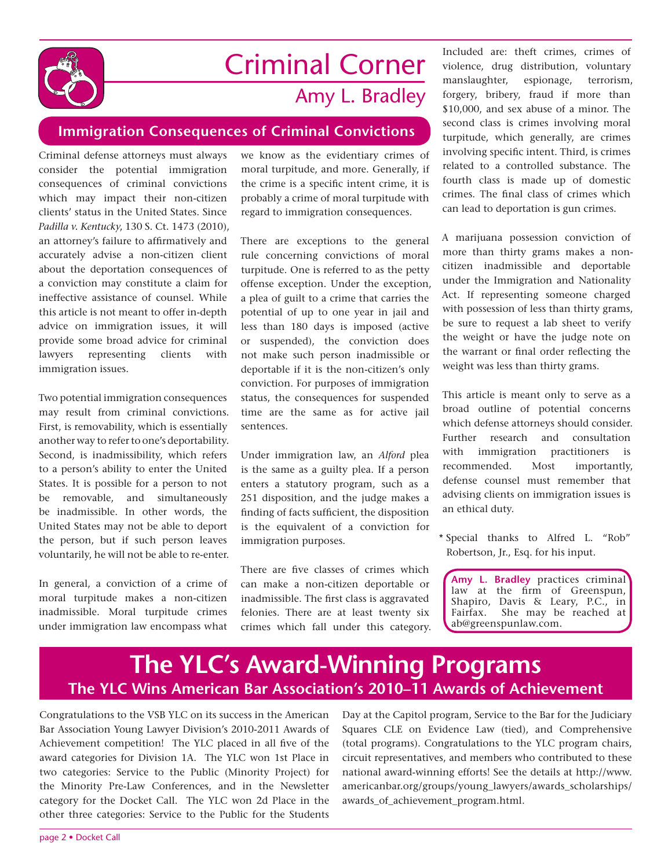

## Criminal Corner Amy L. Bradley

### **Immigration Consequences of Criminal Convictions**

Criminal defense attorneys must always consider the potential immigration consequences of criminal convictions which may impact their non-citizen clients' status in the United States. Since *Padilla v. Kentucky*, 130 S. Ct. 1473 (2010), an attorney's failure to affirmatively and accurately advise a non-citizen client about the deportation consequences of a conviction may constitute a claim for ineffective assistance of counsel. While this article is not meant to offer in-depth advice on immigration issues, it will provide some broad advice for criminal lawyers representing clients with immigration issues.

Two potential immigration consequences may result from criminal convictions. First, is removability, which is essentially another way to refer to one's deportability. Second, is inadmissibility, which refers to a person's ability to enter the United States. It is possible for a person to not be removable, and simultaneously be inadmissible. In other words, the United States may not be able to deport the person, but if such person leaves voluntarily, he will not be able to re-enter.

In general, a conviction of a crime of moral turpitude makes a non-citizen inadmissible. Moral turpitude crimes under immigration law encompass what

we know as the evidentiary crimes of moral turpitude, and more. Generally, if the crime is a specific intent crime, it is probably a crime of moral turpitude with regard to immigration consequences.

There are exceptions to the general rule concerning convictions of moral turpitude. One is referred to as the petty offense exception. Under the exception, a plea of guilt to a crime that carries the potential of up to one year in jail and less than 180 days is imposed (active or suspended), the conviction does not make such person inadmissible or deportable if it is the non-citizen's only conviction. For purposes of immigration status, the consequences for suspended time are the same as for active jail sentences.

Under immigration law, an *Alford* plea is the same as a guilty plea. If a person enters a statutory program, such as a 251 disposition, and the judge makes a finding of facts sufficient, the disposition is the equivalent of a conviction for immigration purposes.

There are five classes of crimes which can make a non-citizen deportable or inadmissible. The first class is aggravated felonies. There are at least twenty six crimes which fall under this category.

Included are: theft crimes, crimes of violence, drug distribution, voluntary manslaughter, espionage, terrorism, forgery, bribery, fraud if more than \$10,000, and sex abuse of a minor. The second class is crimes involving moral turpitude, which generally, are crimes involving specific intent. Third, is crimes related to a controlled substance. The fourth class is made up of domestic crimes. The final class of crimes which can lead to deportation is gun crimes.

A marijuana possession conviction of more than thirty grams makes a noncitizen inadmissible and deportable under the Immigration and Nationality Act. If representing someone charged with possession of less than thirty grams, be sure to request a lab sheet to verify the weight or have the judge note on the warrant or final order reflecting the weight was less than thirty grams.

This article is meant only to serve as a broad outline of potential concerns which defense attorneys should consider. Further research and consultation with immigration practitioners is recommended. Most importantly, defense counsel must remember that advising clients on immigration issues is an ethical duty.

\* Special thanks to Alfred L. "Rob" Robertson, Jr., Esq. for his input.

**Amy L. Bradley** practices criminal law at the firm of Greenspun, Shapiro, Davis & Leary, P.C., in Fairfax. She may be reached at She may be reached at ab@greenspunlaw.com.

### **The YLC's Award-Winning Programs The YLC Wins American Bar Association's 2010–11 Awards of Achievement**

Congratulations to the VSB YLC on its success in the American Bar Association Young Lawyer Division's 2010-2011 Awards of Achievement competition! The YLC placed in all five of the award categories for Division 1A. The YLC won 1st Place in two categories: Service to the Public (Minority Project) for the Minority Pre-Law Conferences, and in the Newsletter category for the Docket Call. The YLC won 2d Place in the other three categories: Service to the Public for the Students

Day at the Capitol program, Service to the Bar for the Judiciary Squares CLE on Evidence Law (tied), and Comprehensive (total programs). Congratulations to the YLC program chairs, circuit representatives, and members who contributed to these national award-winning efforts! See the details at http://www. americanbar.org/groups/young\_lawyers/awards\_scholarships/ awards\_of\_achievement\_program.html.